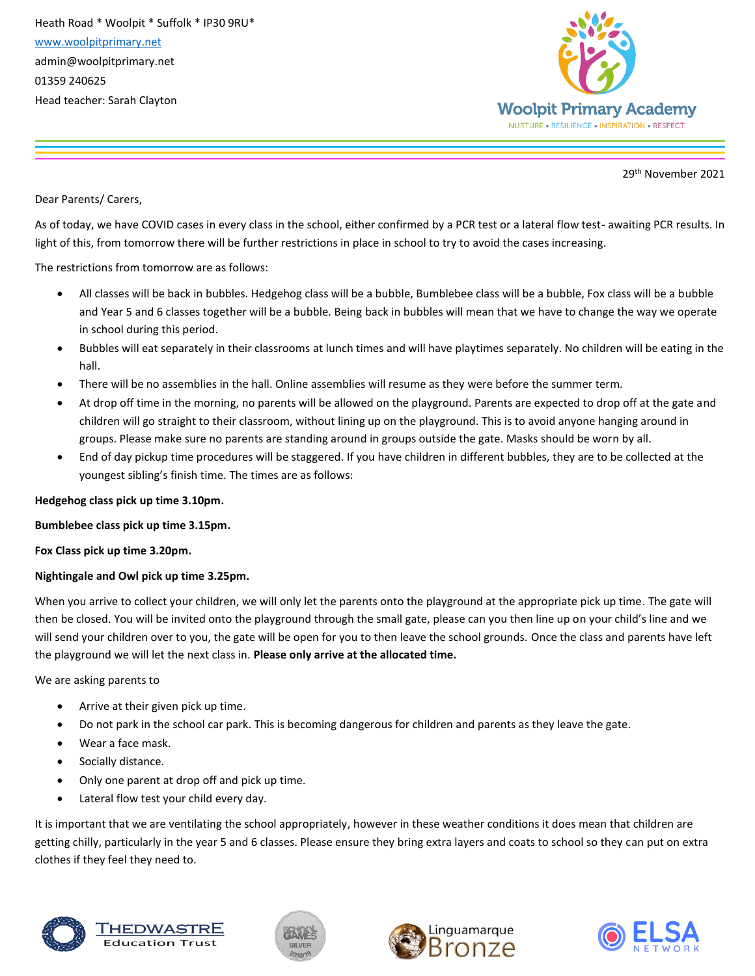Heath Road \* Woolpit \* Suffolk \* IP30 9RU\* [www.woolpitprimary.net](http://www.woolpitprimary.net/) admin@woolpitprimary.net 01359 240625 Head teacher: Sarah Clayton



29th November 2021

Dear Parents/ Carers,

As of today, we have COVID cases in every class in the school, either confirmed by a PCR test or a lateral flow test- awaiting PCR results. In light of this, from tomorrow there will be further restrictions in place in school to try to avoid the cases increasing.

The restrictions from tomorrow are as follows:

- All classes will be back in bubbles. Hedgehog class will be a bubble, Bumblebee class will be a bubble, Fox class will be a bubble and Year 5 and 6 classes together will be a bubble. Being back in bubbles will mean that we have to change the way we operate in school during this period.
- Bubbles will eat separately in their classrooms at lunch times and will have playtimes separately. No children will be eating in the hall.
- There will be no assemblies in the hall. Online assemblies will resume as they were before the summer term.
- At drop off time in the morning, no parents will be allowed on the playground. Parents are expected to drop off at the gate and children will go straight to their classroom, without lining up on the playground. This is to avoid anyone hanging around in groups. Please make sure no parents are standing around in groups outside the gate. Masks should be worn by all.
- End of day pickup time procedures will be staggered. If you have children in different bubbles, they are to be collected at the youngest sibling's finish time. The times are as follows:

## **Hedgehog class pick up time 3.10pm.**

**Bumblebee class pick up time 3.15pm.**

**Fox Class pick up time 3.20pm.**

## **Nightingale and Owl pick up time 3.25pm.**

When you arrive to collect your children, we will only let the parents onto the playground at the appropriate pick up time. The gate will then be closed. You will be invited onto the playground through the small gate, please can you then line up on your child's line and we will send your children over to you, the gate will be open for you to then leave the school grounds. Once the class and parents have left the playground we will let the next class in. **Please only arrive at the allocated time.**

We are asking parents to

- Arrive at their given pick up time.
- Do not park in the school car park. This is becoming dangerous for children and parents as they leave the gate.
- Wear a face mask.
- Socially distance.
- Only one parent at drop off and pick up time.
- Lateral flow test your child every day.

It is important that we are ventilating the school appropriately, however in these weather conditions it does mean that children are getting chilly, particularly in the year 5 and 6 classes. Please ensure they bring extra layers and coats to school so they can put on extra clothes if they feel they need to.



<u> FHEDWASTF</u> **Education Trus**